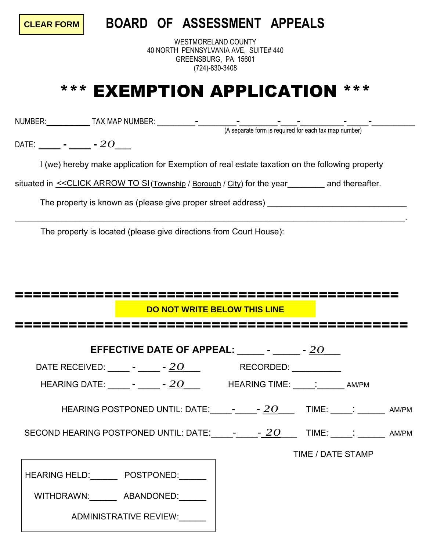**CLEAR FORM**

## **BOARD OF ASSESSMENT APPEALS**

WESTMORELAND COUNTY 40 NORTH PENNSYLVANIA AVE, SUITE# 440 GREENSBURG, PA 15601 (724)-830-3408

## \*\*\* EXEMPTION APPLICATION \*\*\*

NUMBER:**\_\_\_\_\_\_\_\_** TAX MAP NUMBER: \_\_\_\_\_\_\_-\_\_\_\_\_\_\_-\_\_\_\_\_\_\_-\_\_\_-\_\_\_\_\_\_\_\_-\_\_\_\_-\_\_\_\_\_\_\_\_

(A separate form is required for each tax map number)

DATE: **\_\_\_\_ - \_\_\_\_ -** *20*\_\_\_

I (we) hereby make application for Exemption of real estate taxation on the following property

\_\_\_\_\_\_\_\_\_\_\_\_\_\_\_\_\_\_\_\_\_\_\_\_\_\_\_\_\_\_\_\_\_\_\_\_\_\_\_\_\_\_\_\_\_\_\_\_\_\_\_\_\_\_\_\_\_\_\_\_\_\_\_\_\_\_\_\_\_\_\_\_\_\_\_\_\_\_\_\_\_\_\_\_.

situated in <u><<CLICK ARROW TO SI</u> (Township / Borough / City) for the year\_\_\_\_\_\_\_\_ and thereafter.

The property is known as (please give proper street address)

The property is located (please give directions from Court House):

| DO NOT WRITE BELOW THIS LINE                                |  |                   |  |  |  |
|-------------------------------------------------------------|--|-------------------|--|--|--|
|                                                             |  |                   |  |  |  |
| EFFECTIVE DATE OF APPEAL: Product 20                        |  |                   |  |  |  |
| DATE RECEIVED: ______ - _____ - 20 ____ RECORDED: _________ |  |                   |  |  |  |
|                                                             |  |                   |  |  |  |
|                                                             |  |                   |  |  |  |
|                                                             |  |                   |  |  |  |
|                                                             |  | TIME / DATE STAMP |  |  |  |
| HEARING HELD: POSTPONED:                                    |  |                   |  |  |  |
| WITHDRAWN: ABANDONED:                                       |  |                   |  |  |  |
| ADMINISTRATIVE REVIEW:                                      |  |                   |  |  |  |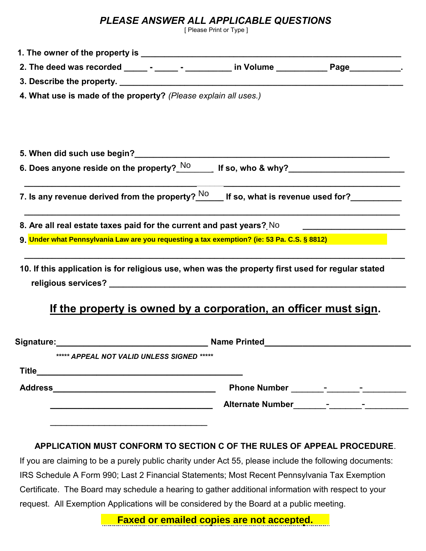## *PLEASE ANSWER ALL APPLICABLE QUESTIONS*

[ Please Print or Type ]

| 2. The deed was recorded _____ - _____ - _________ in Volume ___________ Page__________.                               |                                                                  |  |
|------------------------------------------------------------------------------------------------------------------------|------------------------------------------------------------------|--|
|                                                                                                                        |                                                                  |  |
| 4. What use is made of the property? (Please explain all uses.)                                                        |                                                                  |  |
|                                                                                                                        |                                                                  |  |
|                                                                                                                        |                                                                  |  |
|                                                                                                                        |                                                                  |  |
| 6. Does anyone reside on the property? $\frac{\mathsf{No}}{\mathsf{No}}$ If so, who & why?____________________________ |                                                                  |  |
|                                                                                                                        |                                                                  |  |
| 7. Is any revenue derived from the property? $^{NO}$ If so, what is revenue used for?                                  |                                                                  |  |
| 8. Are all real estate taxes paid for the current and past years? No _______________________________                   |                                                                  |  |
| 9. Under what Pennsylvania Law are you requesting a tax exemption? (ie: 53 Pa. C.S. § 8812)                            |                                                                  |  |
|                                                                                                                        |                                                                  |  |
| 10. If this application is for religious use, when was the property first used for regular stated                      |                                                                  |  |
|                                                                                                                        |                                                                  |  |
|                                                                                                                        |                                                                  |  |
|                                                                                                                        | If the property is owned by a corporation, an officer must sign. |  |
|                                                                                                                        |                                                                  |  |
| ***** APPEAL NOT VALID UNLESS SIGNED *****                                                                             |                                                                  |  |
|                                                                                                                        |                                                                  |  |
|                                                                                                                        |                                                                  |  |
|                                                                                                                        |                                                                  |  |
|                                                                                                                        |                                                                  |  |
|                                                                                                                        |                                                                  |  |
| APPLICATION MUST CONFORM TO SECTION C OF THE RULES OF APPEAL PROCEDURE.                                                |                                                                  |  |
| If you are claiming to be a purely public charity under Act 55, please include the following documents:                |                                                                  |  |

 IRS Schedule A Form 990; Last 2 Financial Statements; Most Recent Pennsylvania Tax Exemption Certificate. The Board may schedule a hearing to gather additional information with respect to your request. All Exemption Applications will be considered by the Board at a public meeting.

Faxed or emailed copies are not accepted. **Faxed or emailed copies are not accepted.**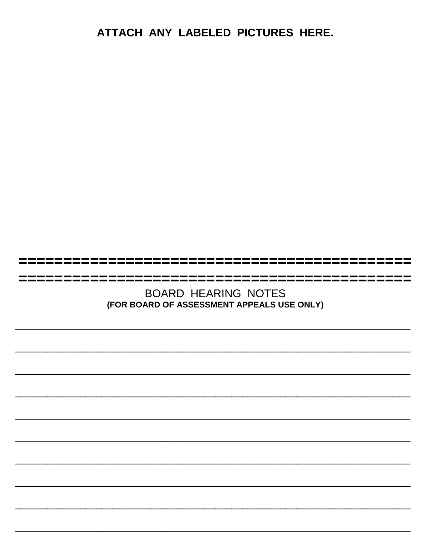ATTACH ANY LABELED PICTURES HERE.

**BOARD HEARING NOTES** (FOR BOARD OF ASSESSMENT APPEALS USE ONLY)